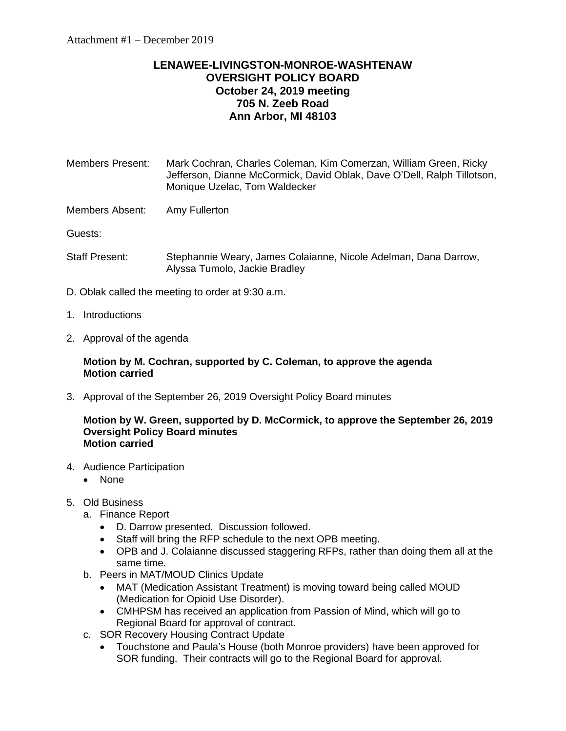# **LENAWEE-LIVINGSTON-MONROE-WASHTENAW OVERSIGHT POLICY BOARD October 24, 2019 meeting 705 N. Zeeb Road Ann Arbor, MI 48103**

Members Present: Mark Cochran, Charles Coleman, Kim Comerzan, William Green, Ricky Jefferson, Dianne McCormick, David Oblak, Dave O'Dell, Ralph Tillotson, Monique Uzelac, Tom Waldecker

Members Absent: Amy Fullerton

Guests:

- Staff Present: Stephannie Weary, James Colaianne, Nicole Adelman, Dana Darrow, Alyssa Tumolo, Jackie Bradley
- D. Oblak called the meeting to order at 9:30 a.m.
- 1. Introductions
- 2. Approval of the agenda

# **Motion by M. Cochran, supported by C. Coleman, to approve the agenda Motion carried**

3. Approval of the September 26, 2019 Oversight Policy Board minutes

### **Motion by W. Green, supported by D. McCormick, to approve the September 26, 2019 Oversight Policy Board minutes Motion carried**

- 4. Audience Participation
	- None
- 5. Old Business
	- a. Finance Report
		- D. Darrow presented. Discussion followed.
		- Staff will bring the RFP schedule to the next OPB meeting.
		- OPB and J. Colaianne discussed staggering RFPs, rather than doing them all at the same time.
	- b. Peers in MAT/MOUD Clinics Update
		- MAT (Medication Assistant Treatment) is moving toward being called MOUD (Medication for Opioid Use Disorder).
		- CMHPSM has received an application from Passion of Mind, which will go to Regional Board for approval of contract.
	- c. SOR Recovery Housing Contract Update
		- Touchstone and Paula's House (both Monroe providers) have been approved for SOR funding. Their contracts will go to the Regional Board for approval.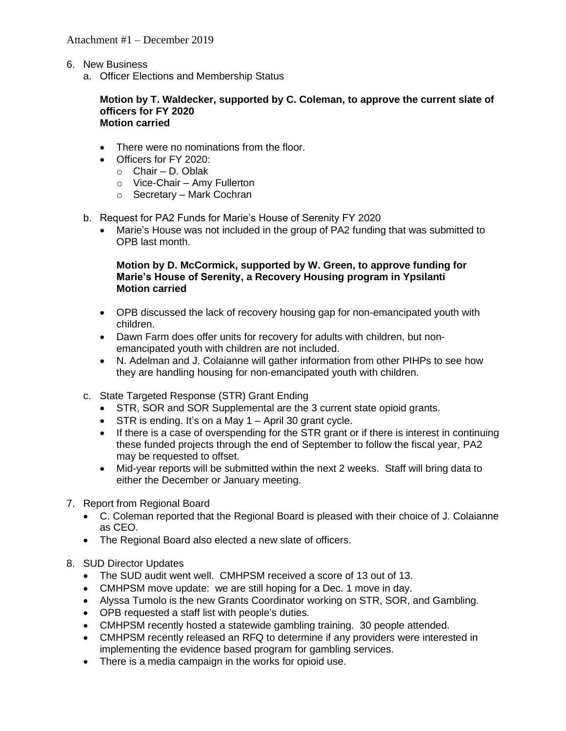- 6. New Business
	- a. Officer Elections and Membership Status

#### **Motion by T. Waldecker, supported by C. Coleman, to approve the current slate of officers for FY 2020 Motion carried**

- There were no nominations from the floor.
- Officers for FY 2020:
	- o Chair D. Oblak
	- o Vice-Chair Amy Fullerton
	- o Secretary Mark Cochran
- b. Request for PA2 Funds for Marie's House of Serenity FY 2020
	- Marie's House was not included in the group of PA2 funding that was submitted to OPB last month.

## **Motion by D. McCormick, supported by W. Green, to approve funding for Marie's House of Serenity, a Recovery Housing program in Ypsilanti Motion carried**

- OPB discussed the lack of recovery housing gap for non-emancipated youth with children.
- Dawn Farm does offer units for recovery for adults with children, but nonemancipated youth with children are not included.
- N. Adelman and J. Colaianne will gather information from other PIHPs to see how they are handling housing for non-emancipated youth with children.
- c. State Targeted Response (STR) Grant Ending
	- STR, SOR and SOR Supplemental are the 3 current state opioid grants.
	- STR is ending. It's on a May 1 April 30 grant cycle.
	- If there is a case of overspending for the STR grant or if there is interest in continuing these funded projects through the end of September to follow the fiscal year, PA2 may be requested to offset.
	- Mid-year reports will be submitted within the next 2 weeks. Staff will bring data to either the December or January meeting.
- 7. Report from Regional Board
	- C. Coleman reported that the Regional Board is pleased with their choice of J. Colaianne as CEO.
	- The Regional Board also elected a new slate of officers.
- 8. SUD Director Updates
	- The SUD audit went well. CMHPSM received a score of 13 out of 13.
	- CMHPSM move update: we are still hoping for a Dec. 1 move in day.
	- Alyssa Tumolo is the new Grants Coordinator working on STR, SOR, and Gambling.
	- OPB requested a staff list with people's duties.
	- CMHPSM recently hosted a statewide gambling training. 30 people attended.
	- CMHPSM recently released an RFQ to determine if any providers were interested in implementing the evidence based program for gambling services.
	- There is a media campaign in the works for opioid use.